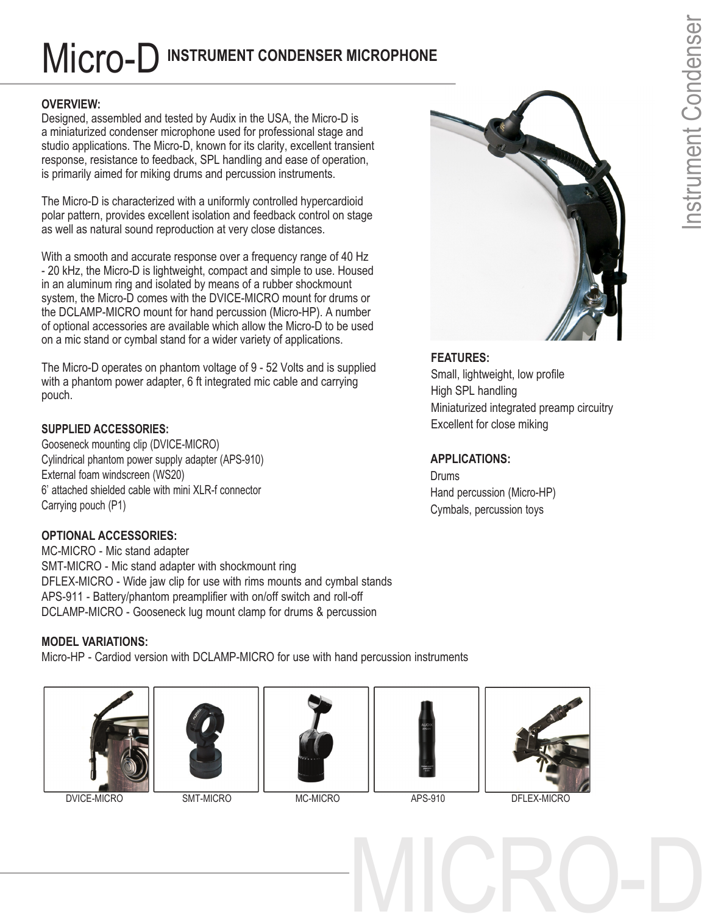# MIC**ro-D** INSTRUMENT CONDENSER MICROPHONE

## **OVERVIEW:**

Designed, assembled and tested by Audix in the USA, the Micro-D is a miniaturized condenser microphone used for professional stage and studio applications. The Micro-D, known for its clarity, excellent transient response, resistance to feedback, SPL handling and ease of operation, is primarily aimed for miking drums and percussion instruments.

The Micro-D is characterized with a uniformly controlled hypercardioid polar pattern, provides excellent isolation and feedback control on stage as well as natural sound reproduction at very close distances.

With a smooth and accurate response over a frequency range of 40 Hz - 20 kHz, the Micro-D is lightweight, compact and simple to use. Housed in an aluminum ring and isolated by means of a rubber shockmount system, the Micro-D comes with the DVICE-MICRO mount for drums or the DCLAMP-MICRO mount for hand percussion (Micro-HP). A number of optional accessories are available which allow the Micro-D to be used on a mic stand or cymbal stand for a wider variety of applications.

The Micro-D operates on phantom voltage of 9 - 52 Volts and is supplied with a phantom power adapter, 6 ft integrated mic cable and carrying pouch.

# **SUPPLIED ACCESSORIES:**

Gooseneck mounting clip (DVICE-MICRO) Cylindrical phantom power supply adapter (APS-910) External foam windscreen (WS20) 6' attached shielded cable with mini XLR-f connector Carrying pouch (P1)

# **OPTIONAL ACCESSORIES:**

MC-MICRO - Mic stand adapter SMT-MICRO - Mic stand adapter with shockmount ring DFLEX-MICRO - Wide jaw clip for use with rims mounts and cymbal stands APS-911 - Battery/phantom preamplifier with on/off switch and roll-off DCLAMP-MICRO - Gooseneck lug mount clamp for drums & percussion



Micro-HP - Cardiod version with DCLAMP-MICRO for use with hand percussion instruments











DVICE-MICRO SMT-MICRO MC-MICRO APS-910 DFLEX-MICRO

MICRO-D



# **FEATURES:**

Small, lightweight, low profile High SPL handling Miniaturized integrated preamp circuitry Excellent for close miking

# **APPLICATIONS:**

**Drums** Hand percussion (Micro-HP) Cymbals, percussion toys